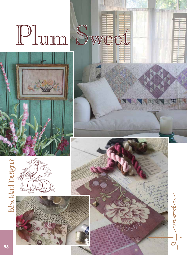## Plum Sweet







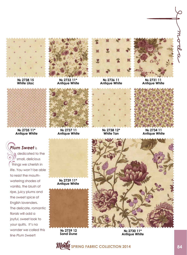

**№ 2738 15 White Lilac**



**№ 2733 11\* Antique White**



**№ 2736 11 Antique White**

**№ 2738 12\* White Tan**



**№ 2731 11 Antique White**



**№ 2734 11 Antique White**



**№ 2735 11\* Antique White**

## *Plum Sweet* is

 dedicated to the small, delicious things we cherish in life. You won't be able to resist the mouthwatering shades of vanilla, the blush of ripe, juicy plums and the sweet spice of English lavenders. The delicate, romantic florals will add a joyful, sweet look to your quilts. It's no wonder we called this line *Plum Sweet*!

**№ 2739 11\* Antique White**

**№ 2739 12 Sand Dune**



**№ 2730 11\* Antique White**

**Moda** spring fabric collection 2014 **84**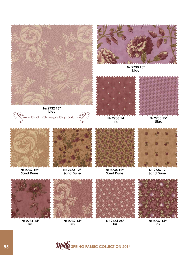

**Lilac**

www.blackbird-designs.blogspot.com



**№ 2730 15\* Lilac**



**№ 2738 14 Iris**



**№ 2735 15\* Lilac**



**№ 2732 12\* Sand Dune**



**№ 2733 12\* Sand Dune**



**№ 2734 12\* Sand Dune**



**№ 2736 12 Sand Dune**



**№ 2731 14\* Iris**



**№ 2732 14\* Iris**



**№ 2734 24\* Iris**



**№ 2737 14\* Iris**